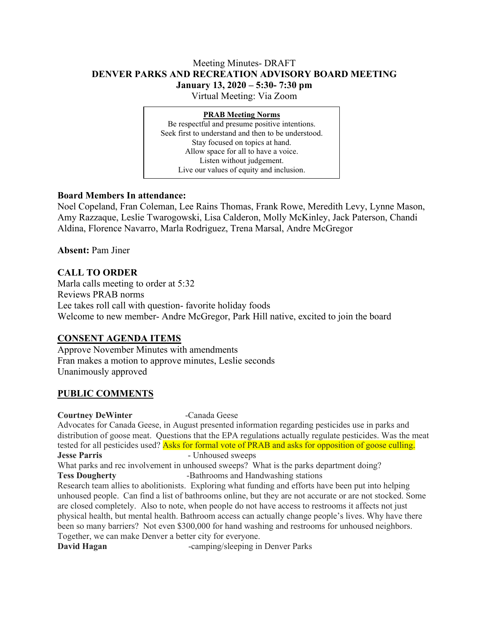# Meeting Minutes- DRAFT **DENVER PARKS AND RECREATION ADVISORY BOARD MEETING January 13, 2020 – 5:30- 7:30 pm**

Virtual Meeting: Via Zoom

#### **PRAB Meeting Norms**

Be respectful and presume positive intentions. Seek first to understand and then to be understood. Stay focused on topics at hand. Allow space for all to have a voice. Listen without judgement. Live our values of equity and inclusion.

# **Board Members In attendance:**

Noel Copeland, Fran Coleman, Lee Rains Thomas, Frank Rowe, Meredith Levy, Lynne Mason, Amy Razzaque, Leslie Twarogowski, Lisa Calderon, Molly McKinley, Jack Paterson, Chandi Aldina, Florence Navarro, Marla Rodriguez, Trena Marsal, Andre McGregor

**Absent:** Pam Jiner

# **CALL TO ORDER**

Marla calls meeting to order at 5:32 Reviews PRAB norms Lee takes roll call with question- favorite holiday foods Welcome to new member- Andre McGregor, Park Hill native, excited to join the board

# **CONSENT AGENDA ITEMS**

Approve November Minutes with amendments Fran makes a motion to approve minutes, Leslie seconds Unanimously approved

# **PUBLIC COMMENTS**

**Courtney DeWinter** -Canada Geese

Advocates for Canada Geese, in August presented information regarding pesticides use in parks and distribution of goose meat. Questions that the EPA regulations actually regulate pesticides. Was the meat tested for all pesticides used? Asks for formal vote of PRAB and asks for opposition of goose culling. **Jesse Parris** - Unhoused sweeps What parks and rec involvement in unhoused sweeps? What is the parks department doing? **Tess Dougherty** -Bathrooms and Handwashing stations Research team allies to abolitionists. Exploring what funding and efforts have been put into helping unhoused people. Can find a list of bathrooms online, but they are not accurate or are not stocked. Some

are closed completely. Also to note, when people do not have access to restrooms it affects not just physical health, but mental health. Bathroom access can actually change people's lives. Why have there been so many barriers? Not even \$300,000 for hand washing and restrooms for unhoused neighbors. Together, we can make Denver a better city for everyone.

**David Hagan** -camping/sleeping in Denver Parks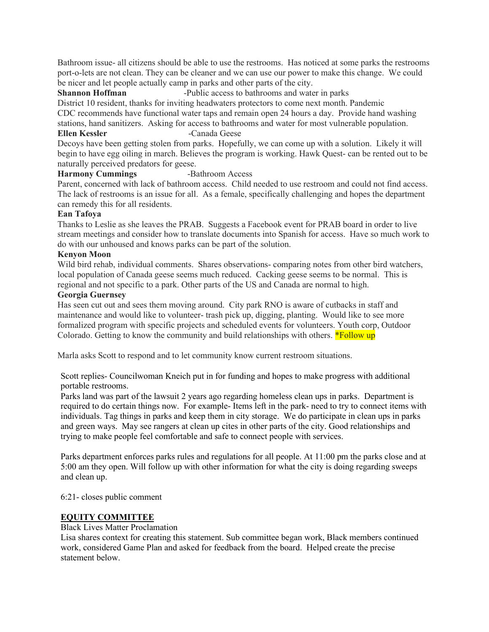Bathroom issue- all citizens should be able to use the restrooms. Has noticed at some parks the restrooms port-o-lets are not clean. They can be cleaner and we can use our power to make this change. We could be nicer and let people actually camp in parks and other parts of the city.<br>Shannon Hoffman -Public access to bathrooms and wate

-Public access to bathrooms and water in parks

District 10 resident, thanks for inviting headwaters protectors to come next month. Pandemic CDC recommends have functional water taps and remain open 24 hours a day. Provide hand washing stations, hand sanitizers. Asking for access to bathrooms and water for most vulnerable population. **Ellen Kessler** - Canada Geese

Decoys have been getting stolen from parks. Hopefully, we can come up with a solution. Likely it will begin to have egg oiling in march. Believes the program is working. Hawk Quest- can be rented out to be naturally perceived predators for geese.

#### **Harmony Cummings** -Bathroom Access

Parent, concerned with lack of bathroom access. Child needed to use restroom and could not find access. The lack of restrooms is an issue for all. As a female, specifically challenging and hopes the department can remedy this for all residents.

## **Ean Tafoya**

Thanks to Leslie as she leaves the PRAB. Suggests a Facebook event for PRAB board in order to live stream meetings and consider how to translate documents into Spanish for access. Have so much work to do with our unhoused and knows parks can be part of the solution.

## **Kenyon Moon**

Wild bird rehab, individual comments. Shares observations- comparing notes from other bird watchers, local population of Canada geese seems much reduced. Cacking geese seems to be normal. This is regional and not specific to a park. Other parts of the US and Canada are normal to high.

## **Georgia Guernsey**

Has seen cut out and sees them moving around. City park RNO is aware of cutbacks in staff and maintenance and would like to volunteer- trash pick up, digging, planting. Would like to see more formalized program with specific projects and scheduled events for volunteers. Youth corp, Outdoor Colorado. Getting to know the community and build relationships with others.  $*$ Follow up

Marla asks Scott to respond and to let community know current restroom situations.

Scott replies- Councilwoman Kneich put in for funding and hopes to make progress with additional portable restrooms.

Parks land was part of the lawsuit 2 years ago regarding homeless clean ups in parks. Department is required to do certain things now. For example- Items left in the park- need to try to connect items with individuals. Tag things in parks and keep them in city storage. We do participate in clean ups in parks and green ways. May see rangers at clean up cites in other parts of the city. Good relationships and trying to make people feel comfortable and safe to connect people with services.

Parks department enforces parks rules and regulations for all people. At 11:00 pm the parks close and at 5:00 am they open. Will follow up with other information for what the city is doing regarding sweeps and clean up.

6:21- closes public comment

# **EQUITY COMMITTEE**

#### Black Lives Matter Proclamation

Lisa shares context for creating this statement. Sub committee began work, Black members continued work, considered Game Plan and asked for feedback from the board. Helped create the precise statement below.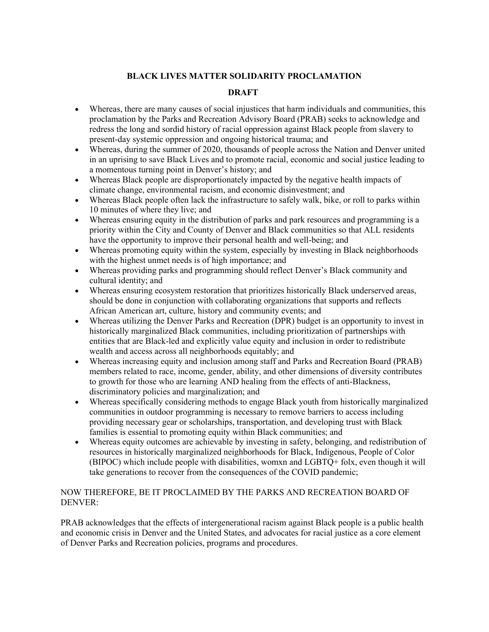# **BLACK LIVES MATTER SOLIDARITY PROCLAMATION**

### **DRAFT**

- Whereas, there are many causes of social injustices that harm individuals and communities, this proclamation by the Parks and Recreation Advisory Board (PRAB) seeks to acknowledge and redress the long and sordid history of racial oppression against Black people from slavery to present-day systemic oppression and ongoing historical trauma; and
- Whereas, during the summer of 2020, thousands of people across the Nation and Denver united in an uprising to save Black Lives and to promote racial, economic and social justice leading to a momentous turning point in Denver's history; and
- Whereas Black people are disproportionately impacted by the negative health impacts of climate change, environmental racism, and economic disinvestment; and
- Whereas Black people often lack the infrastructure to safely walk, bike, or roll to parks within 10 minutes of where they live; and
- Whereas ensuring equity in the distribution of parks and park resources and programming is a priority within the City and County of Denver and Black communities so that ALL residents have the opportunity to improve their personal health and well-being; and
- Whereas promoting equity within the system, especially by investing in Black neighborhoods with the highest unmet needs is of high importance; and
- Whereas providing parks and programming should reflect Denver's Black community and cultural identity; and
- Whereas ensuring ecosystem restoration that prioritizes historically Black underserved areas, should be done in conjunction with collaborating organizations that supports and reflects African American art, culture, history and community events; and
- Whereas utilizing the Denver Parks and Recreation (DPR) budget is an opportunity to invest in historically marginalized Black communities, including prioritization of partnerships with entities that are Black-led and explicitly value equity and inclusion in order to redistribute wealth and access across all neighborhoods equitably; and
- Whereas increasing equity and inclusion among staff and Parks and Recreation Board (PRAB) members related to race, income, gender, ability, and other dimensions of diversity contributes to growth for those who are learning AND healing from the effects of anti-Blackness, discriminatory policies and marginalization; and
- Whereas specifically considering methods to engage Black youth from historically marginalized communities in outdoor programming is necessary to remove barriers to access including providing necessary gear or scholarships, transportation, and developing trust with Black families is essential to promoting equity within Black communities; and
- Whereas equity outcomes are achievable by investing in safety, belonging, and redistribution of resources in historically marginalized neighborhoods for Black, Indigenous, People of Color (BIPOC) which include people with disabilities, womxn and LGBTQ+ folx, even though it will take generations to recover from the consequences of the COVID pandemic;

## NOW THEREFORE, BE IT PROCLAIMED BY THE PARKS AND RECREATION BOARD OF DENVER:

PRAB acknowledges that the effects of intergenerational racism against Black people is a public health and economic crisis in Denver and the United States, and advocates for racial justice as a core element of Denver Parks and Recreation policies, programs and procedures.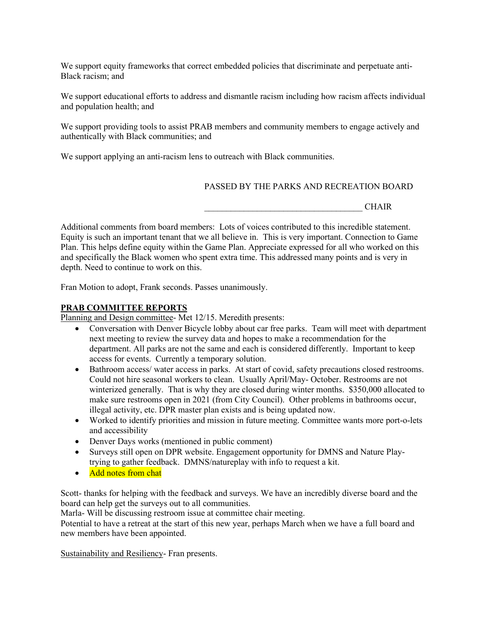We support equity frameworks that correct embedded policies that discriminate and perpetuate anti-Black racism; and

We support educational efforts to address and dismantle racism including how racism affects individual and population health; and

We support providing tools to assist PRAB members and community members to engage actively and authentically with Black communities; and

We support applying an anti-racism lens to outreach with Black communities.

### PASSED BY THE PARKS AND RECREATION BOARD

\_\_\_\_\_\_\_\_\_\_\_\_\_\_\_\_\_\_\_\_\_\_\_\_\_\_\_\_\_\_\_\_\_\_\_\_ CHAIR

Additional comments from board members: Lots of voices contributed to this incredible statement. Equity is such an important tenant that we all believe in. This is very important. Connection to Game Plan. This helps define equity within the Game Plan. Appreciate expressed for all who worked on this and specifically the Black women who spent extra time. This addressed many points and is very in depth. Need to continue to work on this.

Fran Motion to adopt, Frank seconds. Passes unanimously.

#### **PRAB COMMITTEE REPORTS**

Planning and Design committee- Met 12/15. Meredith presents:

- Conversation with Denver Bicycle lobby about car free parks. Team will meet with department next meeting to review the survey data and hopes to make a recommendation for the department. All parks are not the same and each is considered differently. Important to keep access for events. Currently a temporary solution.
- Bathroom access/ water access in parks. At start of covid, safety precautions closed restrooms. Could not hire seasonal workers to clean. Usually April/May- October. Restrooms are not winterized generally. That is why they are closed during winter months. \$350,000 allocated to make sure restrooms open in 2021 (from City Council). Other problems in bathrooms occur, illegal activity, etc. DPR master plan exists and is being updated now.
- Worked to identify priorities and mission in future meeting. Committee wants more port-o-lets and accessibility
- Denver Days works (mentioned in public comment)
- Surveys still open on DPR website. Engagement opportunity for DMNS and Nature Playtrying to gather feedback. DMNS/natureplay with info to request a kit.
- Add notes from chat

Scott- thanks for helping with the feedback and surveys. We have an incredibly diverse board and the board can help get the surveys out to all communities.

Marla- Will be discussing restroom issue at committee chair meeting.

Potential to have a retreat at the start of this new year, perhaps March when we have a full board and new members have been appointed.

Sustainability and Resiliency- Fran presents.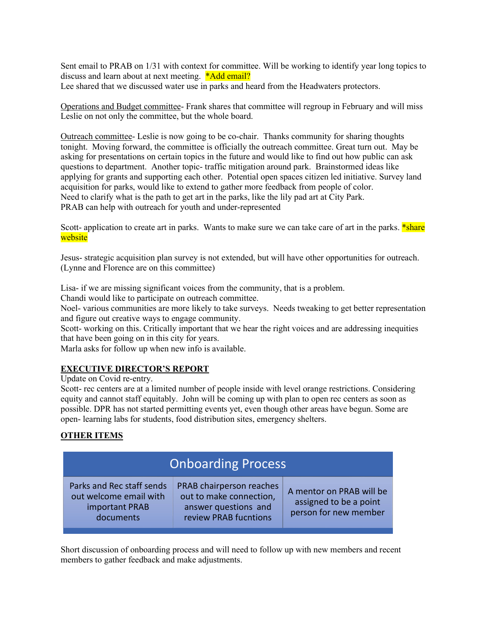Sent email to PRAB on 1/31 with context for committee. Will be working to identify year long topics to discuss and learn about at next meeting. \*Add email? Lee shared that we discussed water use in parks and heard from the Headwaters protectors.

Operations and Budget committee- Frank shares that committee will regroup in February and will miss Leslie on not only the committee, but the whole board.

Outreach committee- Leslie is now going to be co-chair. Thanks community for sharing thoughts tonight. Moving forward, the committee is officially the outreach committee. Great turn out. May be asking for presentations on certain topics in the future and would like to find out how public can ask questions to department. Another topic- traffic mitigation around park. Brainstormed ideas like applying for grants and supporting each other. Potential open spaces citizen led initiative. Survey land acquisition for parks, would like to extend to gather more feedback from people of color. Need to clarify what is the path to get art in the parks, like the lily pad art at City Park. PRAB can help with outreach for youth and under-represented

Scott- application to create art in parks. Wants to make sure we can take care of art in the parks. \*share website

Jesus- strategic acquisition plan survey is not extended, but will have other opportunities for outreach. (Lynne and Florence are on this committee)

Lisa- if we are missing significant voices from the community, that is a problem.

Chandi would like to participate on outreach committee.

Noel- various communities are more likely to take surveys. Needs tweaking to get better representation and figure out creative ways to engage community.

Scott- working on this. Critically important that we hear the right voices and are addressing inequities that have been going on in this city for years.

Marla asks for follow up when new info is available.

#### **EXECUTIVE DIRECTOR'S REPORT**

Update on Covid re-entry.

Scott- rec centers are at a limited number of people inside with level orange restrictions. Considering equity and cannot staff equitably. John will be coming up with plan to open rec centers as soon as possible. DPR has not started permitting events yet, even though other areas have begun. Some are open- learning labs for students, food distribution sites, emergency shelters.

#### **OTHER ITEMS**

| <b>Onboarding Process</b>                                                          |                                                                                                      |                                                                             |
|------------------------------------------------------------------------------------|------------------------------------------------------------------------------------------------------|-----------------------------------------------------------------------------|
| Parks and Rec staff sends<br>out welcome email with<br>important PRAB<br>documents | PRAB chairperson reaches<br>out to make connection,<br>answer questions and<br>review PRAB fucntions | A mentor on PRAB will be<br>assigned to be a point<br>person for new member |

Short discussion of onboarding process and will need to follow up with new members and recent members to gather feedback and make adjustments.